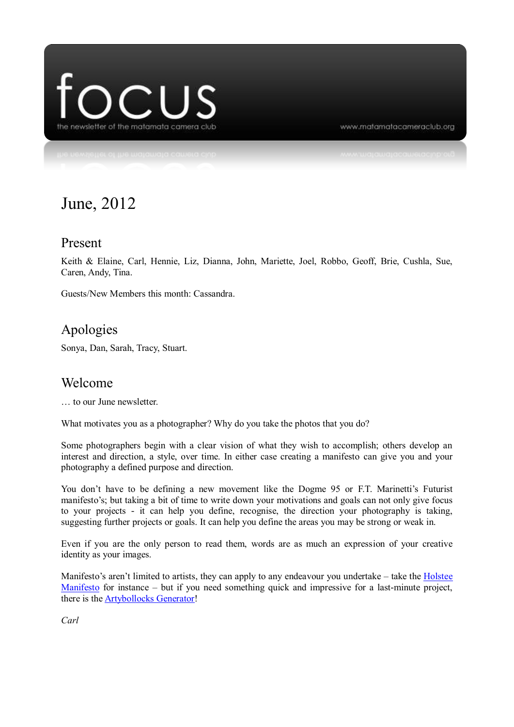

www.matamatacameraclub.org

# June, 2012

#### Present

Keith & Elaine, Carl, Hennie, Liz, Dianna, John, Mariette, Joel, Robbo, Geoff, Brie, Cushla, Sue, Caren, Andy, Tina.

Guests/New Members this month: Cassandra.

## Apologies

Sonya, Dan, Sarah, Tracy, Stuart.

#### Welcome

… to our June newsletter.

What motivates you as a photographer? Why do you take the photos that you do?

Some photographers begin with a clear vision of what they wish to accomplish; others develop an interest and direction, a style, over time. In either case creating a manifesto can give you and your photography a defined purpose and direction.

You don't have to be defining a new movement like the Dogme 95 or F.T. Marinetti's Futurist manifesto's; but taking a bit of time to write down your motivations and goals can not only give focus to your projects - it can help you define, recognise, the direction your photography is taking, suggesting further projects or goals. It can help you define the areas you may be strong or weak in.

Even if you are the only person to read them, words are as much an expression of your creative identity as your images.

Manifesto's aren't limited to artists, they can apply to any endeavour you undertake – take the [Holstee](http://shop.holstee.com/)  [Manifesto](http://shop.holstee.com/) for instance – but if you need something quick and impressive for a last-minute project, there is th[e Artybollocks Generator!](http://www.artybollocks.com/)

*Carl*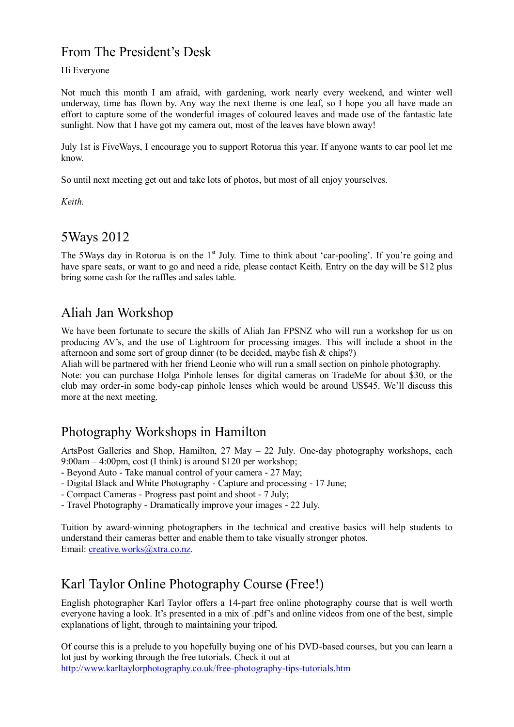## From The President's Desk

#### Hi Everyone

Not much this month I am afraid, with gardening, work nearly every weekend, and winter well underway, time has flown by. Any way the next theme is one leaf, so I hope you all have made an effort to capture some of the wonderful images of coloured leaves and made use of the fantastic late sunlight. Now that I have got my camera out, most of the leaves have blown away!

July 1st is FiveWays, I encourage you to support Rotorua this year. If anyone wants to car pool let me know.

So until next meeting get out and take lots of photos, but most of all enjoy yourselves.

*Keith.*

## 5Ways 2012

The 5Ways day in Rotorua is on the 1<sup>st</sup> July. Time to think about 'car-pooling'. If you're going and have spare seats, or want to go and need a ride, please contact Keith. Entry on the day will be \$12 plus bring some cash for the raffles and sales table.

## Aliah Jan Workshop

We have been fortunate to secure the skills of Aliah Jan FPSNZ who will run a workshop for us on producing AV's, and the use of Lightroom for processing images. This will include a shoot in the afternoon and some sort of group dinner (to be decided, maybe fish & chips?)

Aliah will be partnered with her friend Leonie who will run a small section on pinhole photography.

Note: you can purchase Holga Pinhole lenses for digital cameras on TradeMe for about \$30, or the club may order-in some body-cap pinhole lenses which would be around US\$45. We'll discuss this more at the next meeting.

## Photography Workshops in Hamilton

ArtsPost Galleries and Shop, Hamilton, 27 May – 22 July. One-day photography workshops, each 9:00am – 4:00pm, cost (I think) is around \$120 per workshop;

- Beyond Auto - Take manual control of your camera - 27 May;

- Digital Black and White Photography Capture and processing 17 June;
- Compact Cameras Progress past point and shoot 7 July;
- Travel Photography Dramatically improve your images 22 July.

Tuition by award-winning photographers in the technical and creative basics will help students to understand their cameras better and enable them to take visually stronger photos. Email: [creative.works@xtra.co.nz.](mailto:creative.works@xtra.co.nz)

## Karl Taylor Online Photography Course (Free!)

English photographer Karl Taylor offers a 14-part free online photography course that is well worth everyone having a look. It's presented in a mix of .pdf's and online videos from one of the best, simple explanations of light, through to maintaining your tripod.

Of course this is a prelude to you hopefully buying one of his DVD-based courses, but you can learn a lot just by working through the free tutorials. Check it out at <http://www.karltaylorphotography.co.uk/free-photography-tips-tutorials.htm>